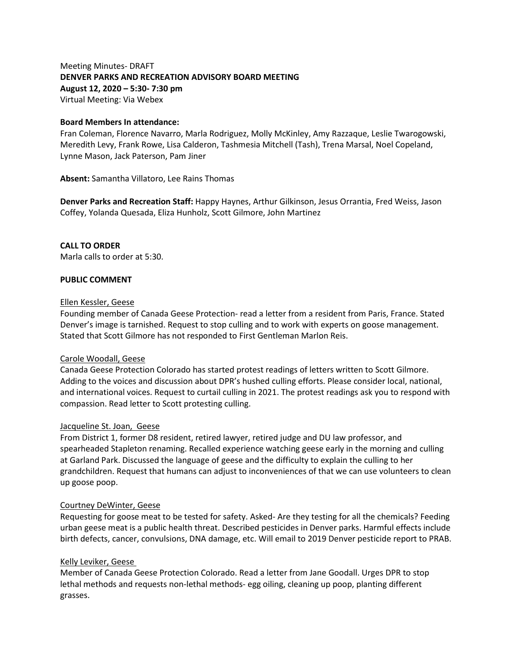Meeting Minutes- DRAFT **DENVER PARKS AND RECREATION ADVISORY BOARD MEETING August 12, 2020 – 5:30- 7:30 pm** Virtual Meeting: Via Webex

#### **Board Members In attendance:**

Fran Coleman, Florence Navarro, Marla Rodriguez, Molly McKinley, Amy Razzaque, Leslie Twarogowski, Meredith Levy, Frank Rowe, Lisa Calderon, Tashmesia Mitchell (Tash), Trena Marsal, Noel Copeland, Lynne Mason, Jack Paterson, Pam Jiner

**Absent:** Samantha Villatoro, Lee Rains Thomas

**Denver Parks and Recreation Staff:** Happy Haynes, Arthur Gilkinson, Jesus Orrantia, Fred Weiss, Jason Coffey, Yolanda Quesada, Eliza Hunholz, Scott Gilmore, John Martinez

#### **CALL TO ORDER**

Marla calls to order at 5:30.

#### **PUBLIC COMMENT**

#### Ellen Kessler, Geese

Founding member of Canada Geese Protection- read a letter from a resident from Paris, France. Stated Denver's image is tarnished. Request to stop culling and to work with experts on goose management. Stated that Scott Gilmore has not responded to First Gentleman Marlon Reis.

#### Carole Woodall, Geese

Canada Geese Protection Colorado has started protest readings of letters written to Scott Gilmore. Adding to the voices and discussion about DPR's hushed culling efforts. Please consider local, national, and international voices. Request to curtail culling in 2021. The protest readings ask you to respond with compassion. Read letter to Scott protesting culling.

#### Jacqueline St. Joan, Geese

From District 1, former D8 resident, retired lawyer, retired judge and DU law professor, and spearheaded Stapleton renaming. Recalled experience watching geese early in the morning and culling at Garland Park. Discussed the language of geese and the difficulty to explain the culling to her grandchildren. Request that humans can adjust to inconveniences of that we can use volunteers to clean up goose poop.

#### Courtney DeWinter, Geese

Requesting for goose meat to be tested for safety. Asked- Are they testing for all the chemicals? Feeding urban geese meat is a public health threat. Described pesticides in Denver parks. Harmful effects include birth defects, cancer, convulsions, DNA damage, etc. Will email to 2019 Denver pesticide report to PRAB.

#### Kelly Leviker, Geese

Member of Canada Geese Protection Colorado. Read a letter from Jane Goodall. Urges DPR to stop lethal methods and requests non-lethal methods- egg oiling, cleaning up poop, planting different grasses.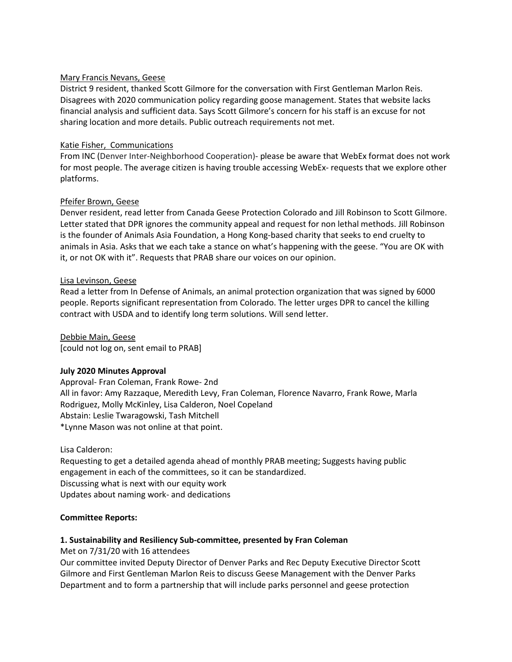## Mary Francis Nevans, Geese

District 9 resident, thanked Scott Gilmore for the conversation with First Gentleman Marlon Reis. Disagrees with 2020 communication policy regarding goose management. States that website lacks financial analysis and sufficient data. Says Scott Gilmore's concern for his staff is an excuse for not sharing location and more details. Public outreach requirements not met.

#### Katie Fisher, Communications

From INC (Denver Inter-Neighborhood Cooperation)- please be aware that WebEx format does not work for most people. The average citizen is having trouble accessing WebEx- requests that we explore other platforms.

#### Pfeifer Brown, Geese

Denver resident, read letter from Canada Geese Protection Colorado and Jill Robinson to Scott Gilmore. Letter stated that DPR ignores the community appeal and request for non lethal methods. Jill Robinson is the founder of Animals Asia Foundation, a Hong Kong-based charity that seeks to end cruelty to animals in Asia. Asks that we each take a stance on what's happening with the geese. "You are OK with it, or not OK with it". Requests that PRAB share our voices on our opinion.

#### Lisa Levinson, Geese

Read a letter from In Defense of Animals, an animal protection organization that was signed by 6000 people. Reports significant representation from Colorado. The letter urges DPR to cancel the killing contract with USDA and to identify long term solutions. Will send letter.

Debbie Main, Geese [could not log on, sent email to PRAB]

## **July 2020 Minutes Approval**

Approval- Fran Coleman, Frank Rowe- 2nd All in favor: Amy Razzaque, Meredith Levy, Fran Coleman, Florence Navarro, Frank Rowe, Marla Rodriguez, Molly McKinley, Lisa Calderon, Noel Copeland Abstain: Leslie Twaragowski, Tash Mitchell \*Lynne Mason was not online at that point.

Lisa Calderon:

Requesting to get a detailed agenda ahead of monthly PRAB meeting; Suggests having public engagement in each of the committees, so it can be standardized. Discussing what is next with our equity work Updates about naming work- and dedications

## **Committee Reports:**

## **1. Sustainability and Resiliency Sub-committee, presented by Fran Coleman**

Met on 7/31/20 with 16 attendees

Our committee invited Deputy Director of Denver Parks and Rec Deputy Executive Director Scott Gilmore and First Gentleman Marlon Reis to discuss Geese Management with the Denver Parks Department and to form a partnership that will include parks personnel and geese protection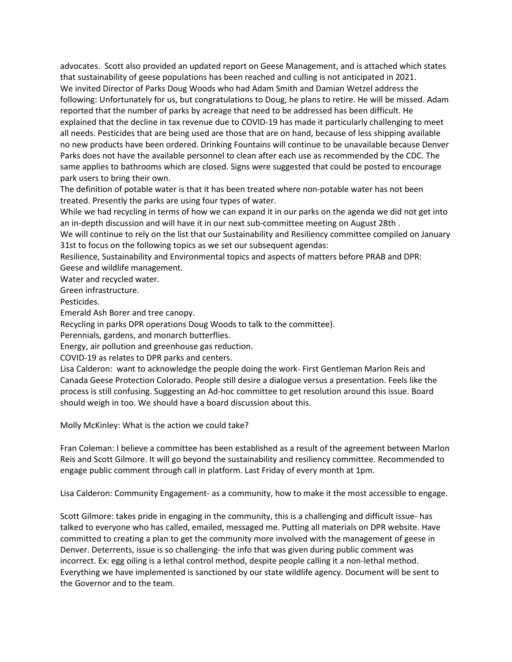advocates. Scott also provided an updated report on Geese Management, and is attached which states that sustainability of geese populations has been reached and culling is not anticipated in 2021. We invited Director of Parks Doug Woods who had Adam Smith and Damian Wetzel address the following: Unfortunately for us, but congratulations to Doug, he plans to retire. He will be missed. Adam reported that the number of parks by acreage that need to be addressed has been difficult. He explained that the decline in tax revenue due to COVID-19 has made it particularly challenging to meet all needs. Pesticides that are being used are those that are on hand, because of less shipping available no new products have been ordered. Drinking Fountains will continue to be unavailable because Denver Parks does not have the available personnel to clean after each use as recommended by the CDC. The same applies to bathrooms which are closed. Signs were suggested that could be posted to encourage park users to bring their own.

The definition of potable water is that it has been treated where non-potable water has not been treated. Presently the parks are using four types of water.

While we had recycling in terms of how we can expand it in our parks on the agenda we did not get into an in-depth discussion and will have it in our next sub-committee meeting on August 28th .

We will continue to rely on the list that our Sustainability and Resiliency committee compiled on January 31st to focus on the following topics as we set our subsequent agendas:

Resilience, Sustainability and Environmental topics and aspects of matters before PRAB and DPR: Geese and wildlife management.

Water and recycled water.

Green infrastructure.

Pesticides.

Emerald Ash Borer and tree canopy.

Recycling in parks DPR operations Doug Woods to talk to the committee).

Perennials, gardens, and monarch butterflies.

Energy, air pollution and greenhouse gas reduction.

COVID-19 as relates to DPR parks and centers.

Lisa Calderon: want to acknowledge the people doing the work- First Gentleman Marlon Reis and Canada Geese Protection Colorado. People still desire a dialogue versus a presentation. Feels like the process is still confusing. Suggesting an Ad-hoc committee to get resolution around this issue. Board should weigh in too. We should have a board discussion about this.

Molly McKinley: What is the action we could take?

Fran Coleman: I believe a committee has been established as a result of the agreement between Marlon Reis and Scott Gilmore. It will go beyond the sustainability and resiliency committee. Recommended to engage public comment through call in platform. Last Friday of every month at 1pm.

Lisa Calderon: Community Engagement- as a community, how to make it the most accessible to engage.

Scott Gilmore: takes pride in engaging in the community, this is a challenging and difficult issue- has talked to everyone who has called, emailed, messaged me. Putting all materials on DPR website. Have committed to creating a plan to get the community more involved with the management of geese in Denver. Deterrents, issue is so challenging- the info that was given during public comment was incorrect. Ex: egg oiling is a lethal control method, despite people calling it a non-lethal method. Everything we have implemented is sanctioned by our state wildlife agency. Document will be sent to the Governor and to the team.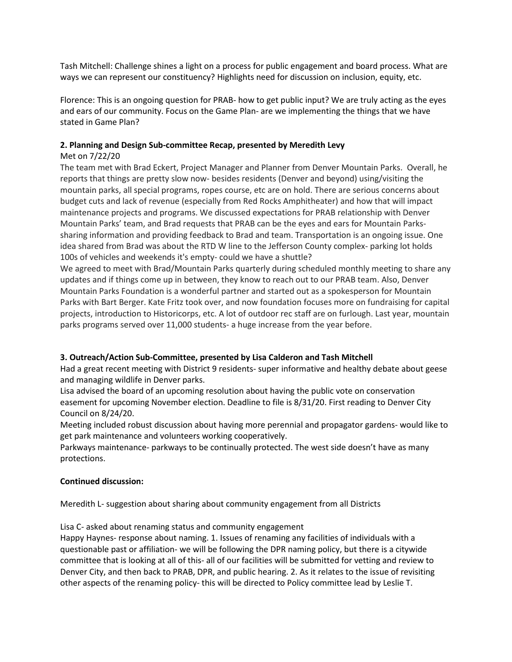Tash Mitchell: Challenge shines a light on a process for public engagement and board process. What are ways we can represent our constituency? Highlights need for discussion on inclusion, equity, etc.

Florence: This is an ongoing question for PRAB- how to get public input? We are truly acting as the eyes and ears of our community. Focus on the Game Plan- are we implementing the things that we have stated in Game Plan?

# **2. Planning and Design Sub-committee Recap, presented by Meredith Levy**

# Met on 7/22/20

The team met with Brad Eckert, Project Manager and Planner from Denver Mountain Parks. Overall, he reports that things are pretty slow now- besides residents (Denver and beyond) using/visiting the mountain parks, all special programs, ropes course, etc are on hold. There are serious concerns about budget cuts and lack of revenue (especially from Red Rocks Amphitheater) and how that will impact maintenance projects and programs. We discussed expectations for PRAB relationship with Denver Mountain Parks' team, and Brad requests that PRAB can be the eyes and ears for Mountain Parkssharing information and providing feedback to Brad and team. Transportation is an ongoing issue. One idea shared from Brad was about the RTD W line to the Jefferson County complex- parking lot holds 100s of vehicles and weekends it's empty- could we have a shuttle?

We agreed to meet with Brad/Mountain Parks quarterly during scheduled monthly meeting to share any updates and if things come up in between, they know to reach out to our PRAB team. Also, Denver Mountain Parks Foundation is a wonderful partner and started out as a spokesperson for Mountain Parks with Bart Berger. Kate Fritz took over, and now foundation focuses more on fundraising for capital projects, introduction to Historicorps, etc. A lot of outdoor rec staff are on furlough. Last year, mountain parks programs served over 11,000 students- a huge increase from the year before.

## **3. Outreach/Action Sub-Committee, presented by Lisa Calderon and Tash Mitchell**

Had a great recent meeting with District 9 residents- super informative and healthy debate about geese and managing wildlife in Denver parks.

Lisa advised the board of an upcoming resolution about having the public vote on conservation easement for upcoming November election. Deadline to file is 8/31/20. First reading to Denver City Council on 8/24/20.

Meeting included robust discussion about having more perennial and propagator gardens- would like to get park maintenance and volunteers working cooperatively.

Parkways maintenance- parkways to be continually protected. The west side doesn't have as many protections.

## **Continued discussion:**

Meredith L- suggestion about sharing about community engagement from all Districts

Lisa C- asked about renaming status and community engagement

Happy Haynes- response about naming. 1. Issues of renaming any facilities of individuals with a questionable past or affiliation- we will be following the DPR naming policy, but there is a citywide committee that is looking at all of this- all of our facilities will be submitted for vetting and review to Denver City, and then back to PRAB, DPR, and public hearing. 2. As it relates to the issue of revisiting other aspects of the renaming policy- this will be directed to Policy committee lead by Leslie T.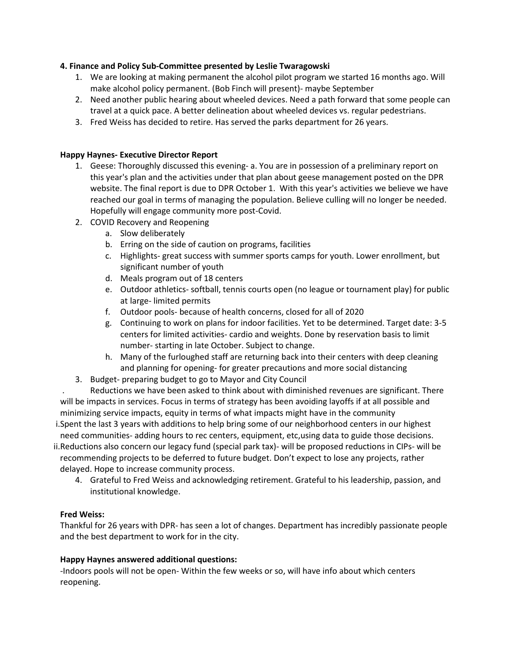# **4. Finance and Policy Sub-Committee presented by Leslie Twaragowski**

- 1. We are looking at making permanent the alcohol pilot program we started 16 months ago. Will make alcohol policy permanent. (Bob Finch will present)- maybe September
- 2. Need another public hearing about wheeled devices. Need a path forward that some people can travel at a quick pace. A better delineation about wheeled devices vs. regular pedestrians.
- 3. Fred Weiss has decided to retire. Has served the parks department for 26 years.

# **Happy Haynes- Executive Director Report**

- 1. Geese: Thoroughly discussed this evening- a. You are in possession of a preliminary report on this year's plan and the activities under that plan about geese management posted on the DPR website. The final report is due to DPR October 1. With this year's activities we believe we have reached our goal in terms of managing the population. Believe culling will no longer be needed. Hopefully will engage community more post-Covid.
- 2. COVID Recovery and Reopening
	- a. Slow deliberately
	- b. Erring on the side of caution on programs, facilities
	- c. Highlights- great success with summer sports camps for youth. Lower enrollment, but significant number of youth
	- d. Meals program out of 18 centers
	- e. Outdoor athletics- softball, tennis courts open (no league or tournament play) for public at large- limited permits
	- f. Outdoor pools- because of health concerns, closed for all of 2020
	- g. Continuing to work on plans for indoor facilities. Yet to be determined. Target date: 3-5 centers for limited activities- cardio and weights. Done by reservation basis to limit number- starting in late October. Subject to change.
	- h. Many of the furloughed staff are returning back into their centers with deep cleaning and planning for opening- for greater precautions and more social distancing
- 3. Budget- preparing budget to go to Mayor and City Council

. Reductions we have been asked to think about with diminished revenues are significant. There will be impacts in services. Focus in terms of strategy has been avoiding layoffs if at all possible and minimizing service impacts, equity in terms of what impacts might have in the community

i.Spent the last 3 years with additions to help bring some of our neighborhood centers in our highest need communities- adding hours to rec centers, equipment, etc,using data to guide those decisions.

ii.Reductions also concern our legacy fund (special park tax)- will be proposed reductions in CIPs- will be recommending projects to be deferred to future budget. Don't expect to lose any projects, rather delayed. Hope to increase community process.

4. Grateful to Fred Weiss and acknowledging retirement. Grateful to his leadership, passion, and institutional knowledge.

## **Fred Weiss:**

Thankful for 26 years with DPR- has seen a lot of changes. Department has incredibly passionate people and the best department to work for in the city.

# **Happy Haynes answered additional questions:**

-Indoors pools will not be open- Within the few weeks or so, will have info about which centers reopening.